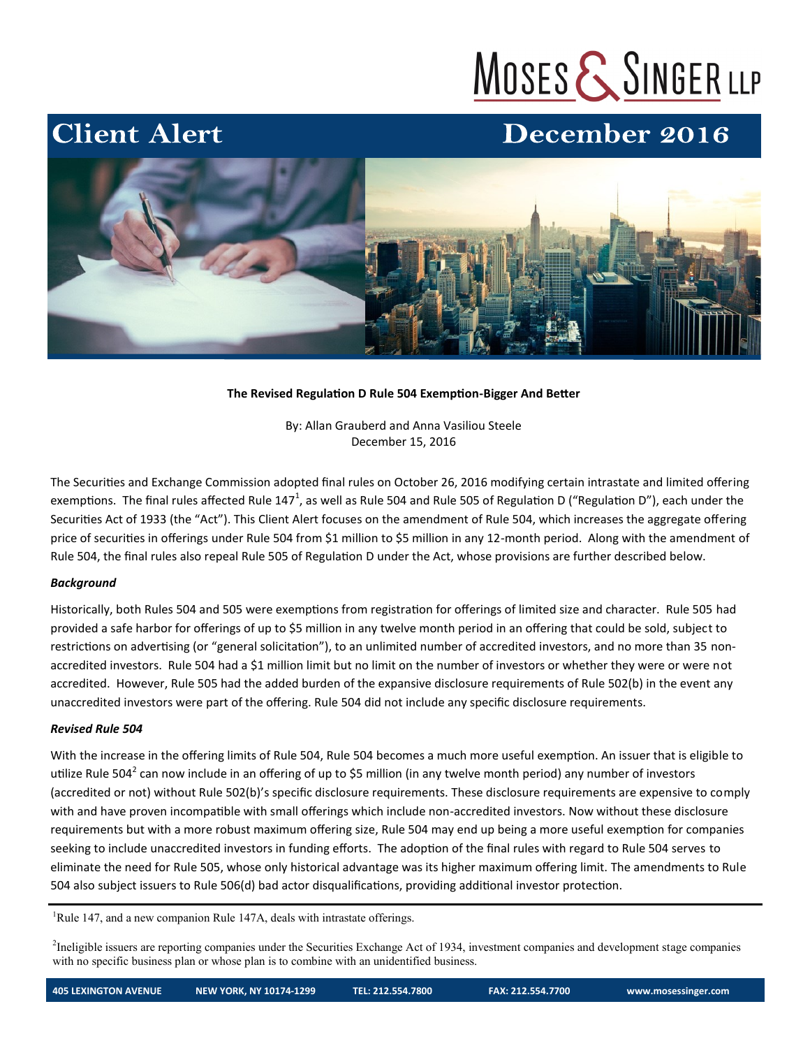# MOSES & SINGER LLP

### December 2016



#### **The Revised Regulation D Rule 504 Exemption-Bigger And Better**

By: Allan Grauberd and Anna Vasiliou Steele December 15, 2016

The Securities and Exchange Commission adopted final rules on October 26, 2016 modifying certain intrastate and limited offering exemptions. The final rules affected Rule 147<sup>1</sup>, as well as Rule 504 and Rule 505 of Regulation D ("Regulation D"), each under the Securities Act of 1933 (the "Act"). This Client Alert focuses on the amendment of Rule 504, which increases the aggregate offering price of securities in offerings under Rule 504 from \$1 million to \$5 million in any 12-month period. Along with the amendment of Rule 504, the final rules also repeal Rule 505 of Regulation D under the Act, whose provisions are further described below.

#### *Background*

**Client Alert** 

Historically, both Rules 504 and 505 were exemptions from registration for offerings of limited size and character. Rule 505 had provided a safe harbor for offerings of up to \$5 million in any twelve month period in an offering that could be sold, subject to restrictions on advertising (or "general solicitation"), to an unlimited number of accredited investors, and no more than 35 nonaccredited investors. Rule 504 had a \$1 million limit but no limit on the number of investors or whether they were or were not accredited. However, Rule 505 had the added burden of the expansive disclosure requirements of Rule 502(b) in the event any unaccredited investors were part of the offering. Rule 504 did not include any specific disclosure requirements.

#### *Revised Rule 504*

With the increase in the offering limits of Rule 504, Rule 504 becomes a much more useful exemption. An issuer that is eligible to utilize Rule 504<sup>2</sup> can now include in an offering of up to \$5 million (in any twelve month period) any number of investors (accredited or not) without Rule 502(b)'s specific disclosure requirements. These disclosure requirements are expensive to comply with and have proven incompatible with small offerings which include non-accredited investors. Now without these disclosure requirements but with a more robust maximum offering size, Rule 504 may end up being a more useful exemption for companies seeking to include unaccredited investors in funding efforts. The adoption of the final rules with regard to Rule 504 serves to eliminate the need for Rule 505, whose only historical advantage was its higher maximum offering limit. The amendments to Rule 504 also subject issuers to Rule 506(d) bad actor disqualifications, providing additional investor protection.

<sup>1</sup>Rule 147, and a new companion Rule 147A, deals with intrastate offerings.

<sup>2</sup>Ineligible issuers are reporting companies under the Securities Exchange Act of 1934, investment companies and development stage companies with no specific business plan or whose plan is to combine with an unidentified business.